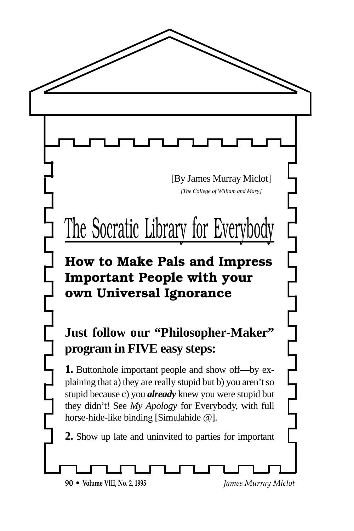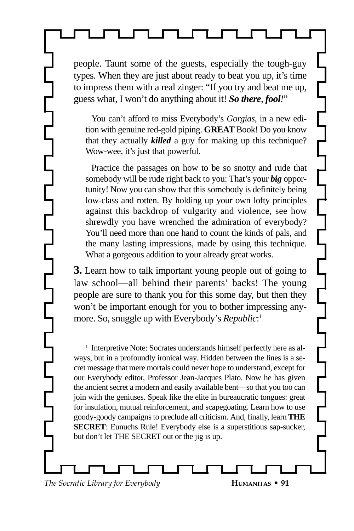people. Taunt some of the guests, especially the tough-guy types. When they are just about ready to beat you up, it's time to impress them with a real zinger: "If you try and beat me up, guess what, I won't do anything about it! *So there, fool!*"

You can't afford to miss Everybody's *Gorgias*, in a new edition with genuine red-gold piping. **GREAT** Book! Do you know that they actually *killed* a guy for making up this technique? Wow-wee, it's just that powerful.

Practice the passages on how to be so snotty and rude that somebody will be rude right back to you: That's your *big* opportunity! Now you can show that this somebody is definitely being low-class and rotten. By holding up your own lofty principles against this backdrop of vulgarity and violence, see how shrewdly you have wrenched the admiration of everybody? You'll need more than one hand to count the kinds of pals, and the many lasting impressions, made by using this technique. What a gorgeous addition to your already great works.

**3.** Learn how to talk important young people out of going to law school—all behind their parents' backs! The young people are sure to thank you for this some day, but then they won't be important enough for you to bother impressing anymore. So, snuggle up with Everybody's *Republic*: 1

<sup>1</sup> Interpretive Note: Socrates understands himself perfectly here as always, but in a profoundly ironical way. Hidden between the lines is a secret message that mere mortals could never hope to understand, except for our Everybody editor, Professor Jean-Jacques Plato. Now he has given the ancient secret a modern and easily available bent—so that you too can join with the geniuses. Speak like the elite in bureaucratic tongues: great for insulation, mutual reinforcement, and scapegoating. Learn how to use goody-goody campaigns to preclude all criticism. And, finally, learn **THE SECRET**: Eunuchs Rule! Everybody else is a superstitious sap-sucker, but don't let THE SECRET out or the jig is up.

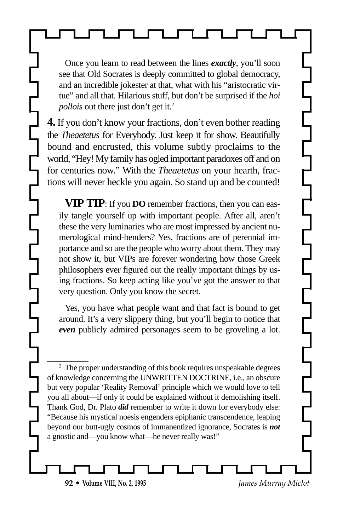Once you learn to read between the lines *exactly*, you'll soon see that Old Socrates is deeply committed to global democracy, and an incredible jokester at that, what with his "aristocratic virtue" and all that. Hilarious stuff, but don't be surprised if the *hoi pollois* out there just don't get it.<sup>2</sup>

**4.** If you don't know your fractions, don't even bother reading the *Theaetetus* for Everybody. Just keep it for show. Beautifully bound and encrusted, this volume subtly proclaims to the world, "Hey! My family has ogled important paradoxes off and on for centuries now." With the *Theaetetus* on your hearth, fractions will never heckle you again. So stand up and be counted!

**VIP TIP**: If you **DO** remember fractions, then you can easily tangle yourself up with important people. After all, aren't these the very luminaries who are most impressed by ancient numerological mind-benders? Yes, fractions are of perennial importance and so are the people who worry about them. They may not show it, but VIPs are forever wondering how those Greek philosophers ever figured out the really important things by using fractions. So keep acting like you've got the answer to that very question. Only you know the secret.

Yes, you have what people want and that fact is bound to get around. It's a very slippery thing, but you'll begin to notice that *even* publicly admired personages seem to be groveling a lot.

<sup>2</sup> The proper understanding of this book requires unspeakable degrees of knowledge concerning the UNWRITTEN DOCTRINE, i.e., an obscure but very popular 'Reality Removal' principle which we would love to tell you all about—if only it could be explained without it demolishing itself. Thank God, Dr. Plato *did* remember to write it down for everybody else: "Because his mystical noesis engenders epiphanic transcendence, leaping beyond our butt-ugly cosmos of immanentized ignorance, Socrates is *not* a gnostic and—you know what—he never really was!"

**92 • Volume VIII, No. 2, 1995** *James Murray Miclot*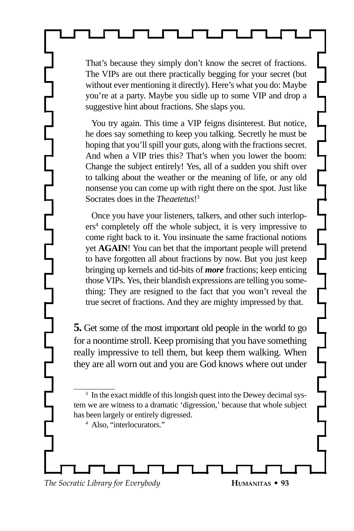That's because they simply don't know the secret of fractions. The VIPs are out there practically begging for your secret (but without ever mentioning it directly). Here's what you do: Maybe you're at a party. Maybe you sidle up to some VIP and drop a suggestive hint about fractions. She slaps you.

You try again. This time a VIP feigns disinterest. But notice, he does say something to keep you talking. Secretly he must be hoping that you'll spill your guts, along with the fractions secret. And when a VIP tries this? That's when you lower the boom: Change the subject entirely! Yes, all of a sudden you shift over to talking about the weather or the meaning of life, or any old nonsense you can come up with right there on the spot. Just like Socrates does in the *Theaetetus*! 3

Once you have your listeners, talkers, and other such interlopers<sup>4</sup> completely off the whole subject, it is very impressive to come right back to it. You insinuate the same fractional notions yet **AGAIN**! You can bet that the important people will pretend to have forgotten all about fractions by now. But you just keep bringing up kernels and tid-bits of *more* fractions; keep enticing those VIPs. Yes, their blandish expressions are telling you something: They are resigned to the fact that you won't reveal the true secret of fractions. And they are mighty impressed by that.

**5.** Get some of the most important old people in the world to go for a noontime stroll. Keep promising that you have something really impressive to tell them, but keep them walking. When they are all worn out and you are God knows where out under

<sup>4</sup> Also, "interlocurators."

<sup>&</sup>lt;sup>3</sup> In the exact middle of this longish quest into the Dewey decimal system we are witness to a dramatic 'digression,' because that whole subject has been largely or entirely digressed.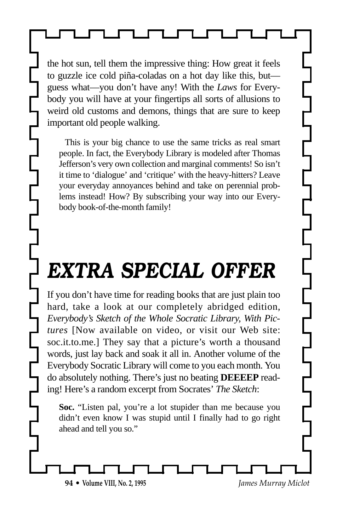the hot sun, tell them the impressive thing: How great it feels to guzzle ice cold piña-coladas on a hot day like this, but guess what—you don't have any! With the *Laws* for Everybody you will have at your fingertips all sorts of allusions to weird old customs and demons, things that are sure to keep important old people walking.

This is your big chance to use the same tricks as real smart people. In fact, the Everybody Library is modeled after Thomas Jefferson's very own collection and marginal comments! So isn't it time to 'dialogue' and 'critique' with the heavy-hitters? Leave your everyday annoyances behind and take on perennial problems instead! How? By subscribing your way into our Everybody book-of-the-month family!

## *EXTRA SPECIAL OFFER*

If you don't have time for reading books that are just plain too hard, take a look at our completely abridged edition, *Everybody's Sketch of the Whole Socratic Library, With Pictures* [Now available on video, or visit our Web site: soc.it.to.me.] They say that a picture's worth a thousand words, just lay back and soak it all in. Another volume of the Everybody Socratic Library will come to you each month. You do absolutely nothing. There's just no beating **DEEEEP** reading! Here's a random excerpt from Socrates' *The Sketch*:

**Soc.** "Listen pal, you're a lot stupider than me because you didn't even know I was stupid until I finally had to go right ahead and tell you so."

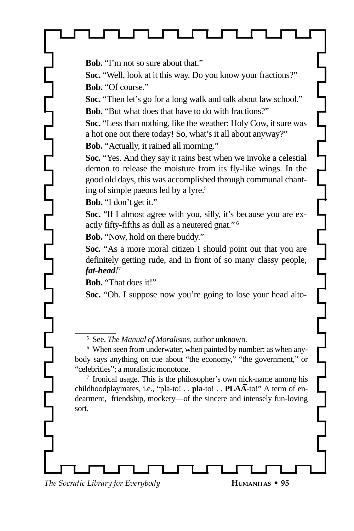**Bob.** "I'm not so sure about that."

**Soc.** "Well, look at it this way. Do you know your fractions?" **Bob.** "Of course."

**Soc.** "Then let's go for a long walk and talk about law school." **Bob.** "But what does that have to do with fractions?"

**Soc.** "Less than nothing, like the weather: Holy Cow, it sure was a hot one out there today! So, what's it all about anyway?"

**Bob.** "Actually, it rained all morning."

**Soc.** "Yes. And they say it rains best when we invoke a celestial demon to release the moisture from its fly-like wings. In the good old days, this was accomplished through communal chanting of simple paeons led by a lyre.<sup>5</sup>

**Bob.** "I don't get it."

**Soc.** "If I almost agree with you, silly, it's because you are exactly fifty-fifths as dull as a neutered gnat." 6

**Bob.** "Now, hold on there buddy."

**Soc.** "As a more moral citizen I should point out that you are definitely getting rude, and in front of so many classy people, *fat-head!* 7

**Bob.** "That does it!"

Soc. "Oh. I suppose now you're going to lose your head alto-

<sup>5</sup> See, *The Manual of Moralisms*, author unknown.

<sup>6</sup> When seen from underwater, when painted by number: as when anybody says anything on cue about "the economy," "the government," or "celebrities"; a moralistic monotone.

<sup>7</sup> Ironical usage. This is the philosopher's own nick-name among his childhoodplaymates, i.e., "pla-to! . . **pla**-to! . . **PLAA**-to!" A term of endearment, friendship, mockery—of the sincere and intensely fun-loving sort.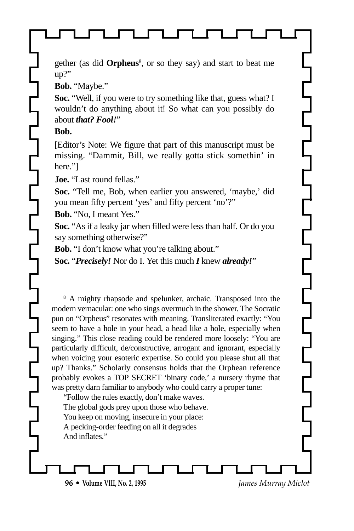gether (as did **Orpheus**<sup>8</sup> , or so they say) and start to beat me up?"

**Bob.** "Maybe."

**Soc.** "Well, if you were to try something like that, guess what? I wouldn't do anything about it! So what can you possibly do about *that? Fool!*"

**Bob.**

[Editor's Note: We figure that part of this manuscript must be missing. "Dammit, Bill, we really gotta stick somethin' in here."]

**Joe.** "Last round fellas."

**Soc.** "Tell me, Bob, when earlier you answered, 'maybe,' did you mean fifty percent 'yes' and fifty percent 'no'?"

**Bob.** "No, I meant Yes."

**Soc.** "As if a leaky jar when filled were less than half. Or do you say something otherwise?"

**Bob.** "I don't know what you're talking about."

**Soc.** "*Precisely!* Nor do I. Yet this much *I* knew *already!*"

<sup>8</sup> A mighty rhapsode and spelunker, archaic. Transposed into the modern vernacular: one who sings overmuch in the shower. The Socratic pun on "Orpheus" resonates with meaning. Transliterated exactly: "You seem to have a hole in your head, a head like a hole, especially when singing." This close reading could be rendered more loosely: "You are particularly difficult, de/constructive, arrogant and ignorant, especially when voicing your esoteric expertise. So could you please shut all that up? Thanks." Scholarly consensus holds that the Orphean reference probably evokes a TOP SECRET 'binary code,' a nursery rhyme that was pretty darn familiar to anybody who could carry a proper tune:

"Follow the rules exactly, don't make waves. The global gods prey upon those who behave. You keep on moving, insecure in your place: A pecking-order feeding on all it degrades And inflates."

**96 • Volume VIII, No. 2, 1995** *James Murray Miclot*